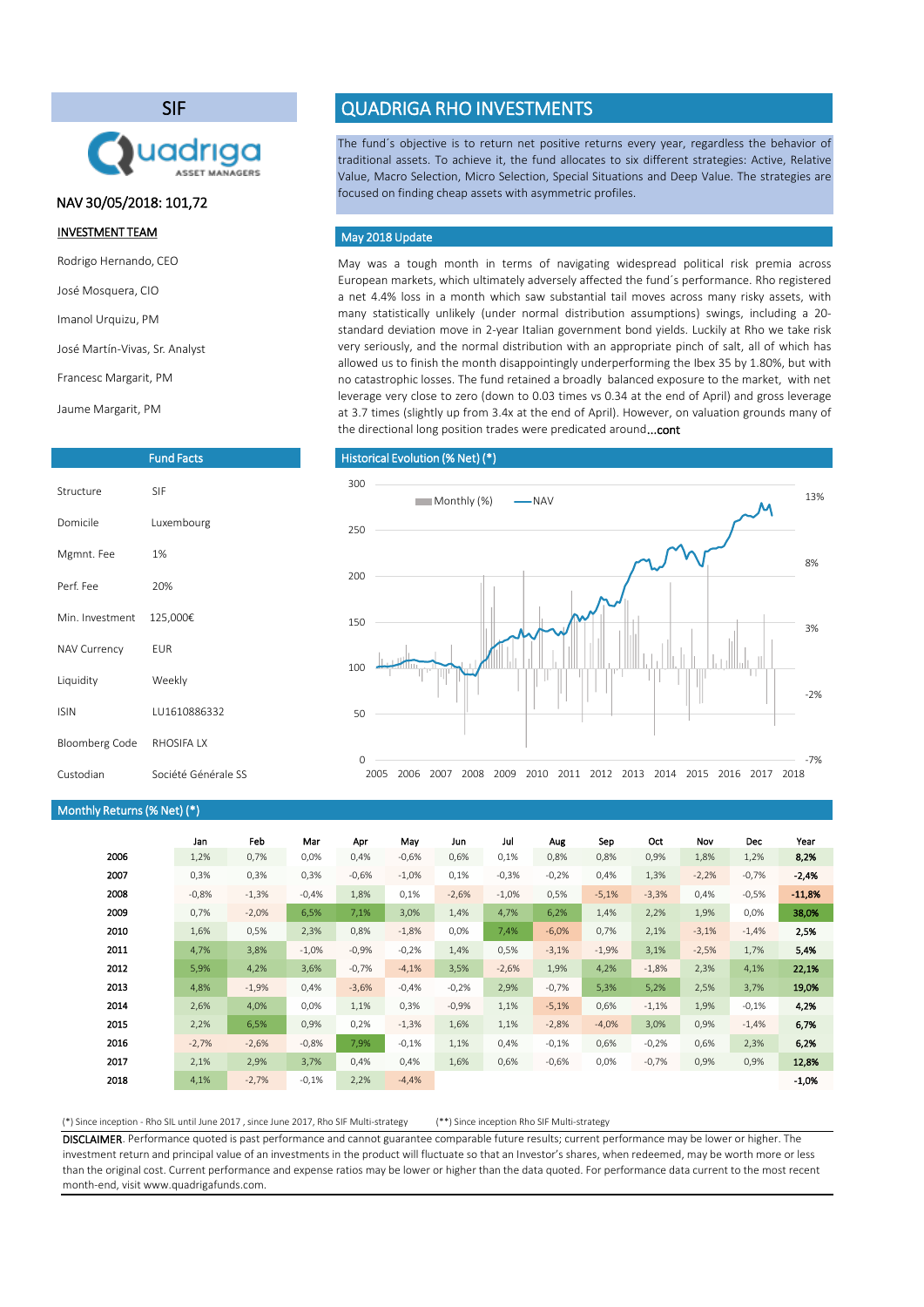(\*) Since inception - Rho SIL until June 2017 , since June 2017, Rho SIF Multi-strategy (\*\*) Since inception Rho SIF Multi-strategy

DISCLAIMER. Performance quoted is past performance and cannot guarantee comparable future results; current performance may be lower or higher. The investment return and principal value of an investments in the product will fluctuate so that an Investor's shares, when redeemed, may be worth more or less than the original cost. Current performance and expense ratios may be lower or higher than the data quoted. For performance data current to the most recent month-end, visit www.quadrigafunds.com.

|      | Jan     | Feb     | Mar     | Apr     | May      | Jun     | Jul      | Aug     | Sep     | Oct     | Nov     | Dec     | Year     |
|------|---------|---------|---------|---------|----------|---------|----------|---------|---------|---------|---------|---------|----------|
| 2006 | 1,2%    | 0,7%    | 0,0%    | 0,4%    | $-0,6%$  | 0,6%    | 0,1%     | 0,8%    | 0,8%    | 0,9%    | 1,8%    | 1,2%    | 8,2%     |
| 2007 | 0,3%    | 0,3%    | 0,3%    | $-0,6%$ | $-1,0\%$ | 0,1%    | $-0,3%$  | $-0,2%$ | 0,4%    | 1,3%    | $-2,2%$ | $-0,7%$ | $-2,4%$  |
| 2008 | $-0,8%$ | $-1,3%$ | $-0,4%$ | 1,8%    | 0,1%     | $-2,6%$ | $-1,0\%$ | 0,5%    | $-5,1%$ | $-3,3%$ | 0,4%    | $-0,5%$ | $-11,8%$ |
| 2009 | 0,7%    | $-2,0%$ | 6,5%    | 7,1%    | 3,0%     | 1,4%    | 4,7%     | 6,2%    | 1,4%    | 2,2%    | 1,9%    | $0,0\%$ | 38,0%    |
| 2010 | 1,6%    | 0,5%    | 2,3%    | 0,8%    | $-1,8%$  | 0,0%    | 7,4%     | $-6,0%$ | 0,7%    | 2,1%    | $-3,1%$ | $-1,4%$ | 2,5%     |
| 2011 | 4,7%    | 3,8%    | $-1,0%$ | $-0,9%$ | $-0,2%$  | 1,4%    | 0,5%     | $-3,1%$ | $-1,9%$ | 3,1%    | $-2,5%$ | 1,7%    | 5,4%     |
| 2012 | 5,9%    | 4,2%    | 3,6%    | $-0,7%$ | $-4,1%$  | 3,5%    | $-2,6%$  | 1,9%    | 4,2%    | $-1,8%$ | 2,3%    | 4,1%    | 22,1%    |
| 2013 | 4,8%    | $-1,9%$ | 0,4%    | $-3,6%$ | $-0,4%$  | $-0,2%$ | 2,9%     | $-0,7%$ | 5,3%    | 5,2%    | 2,5%    | 3,7%    | 19,0%    |
| 2014 | 2,6%    | 4,0%    | 0,0%    | 1,1%    | 0,3%     | $-0,9%$ | 1,1%     | $-5,1%$ | 0,6%    | $-1,1%$ | 1,9%    | $-0,1%$ | 4,2%     |
| 2015 | 2,2%    | 6,5%    | 0,9%    | 0,2%    | $-1,3%$  | 1,6%    | 1,1%     | $-2,8%$ | $-4,0%$ | 3,0%    | 0,9%    | $-1,4%$ | 6,7%     |
| 2016 | $-2,7%$ | $-2,6%$ | $-0,8%$ | 7,9%    | $-0,1%$  | 1,1%    | 0,4%     | $-0,1%$ | 0,6%    | $-0,2%$ | 0,6%    | 2,3%    | 6,2%     |
| 2017 | 2,1%    | 2,9%    | 3,7%    | 0,4%    | 0,4%     | 1,6%    | 0,6%     | $-0,6%$ | $0,0\%$ | $-0,7%$ | 0,9%    | 0,9%    | 12,8%    |
| 2018 | 4,1%    | $-2,7%$ | $-0,1%$ | 2,2%    | $-4,4%$  |         |          |         |         |         |         |         | $-1,0%$  |

May was a tough month in terms of navigating widespread political risk premia across European markets, which ultimately adversely affected the fund´s performance. Rho registered a net 4.4% loss in a month which saw substantial tail moves across many risky assets, with many statistically unlikely (under normal distribution assumptions) swings, including a 20 standard deviation move in 2-year Italian government bond yields. Luckily at Rho we take risk very seriously, and the normal distribution with an appropriate pinch of salt, all of which has allowed us to finish the month disappointingly underperforming the Ibex 35 by 1.80%, but with no catastrophic losses. The fund retained a broadly balanced exposure to the market, with net leverage very close to zero (down to 0.03 times vs 0.34 at the end of April) and gross leverage at 3.7 times (slightly up from 3.4x at the end of April). However, on valuation grounds many of the directional long position trades were predicated around...cont

The fund´s objective is to return net positive returns every year, regardless the behavior of traditional assets. To achieve it, the fund allocates to six different strategies: Active, Relative Value, Macro Selection, Micro Selection, Special Situations and Deep Value. The strategies are focused on finding cheap assets with asymmetric profiles.

#### INVESTMENT TEAM

Rodrigo Hernando, CEO

José Mosquera, CIO

Imanol Urquizu, PM

José Martín-Vivas, Sr. Analyst

Francesc Margarit, PM

Jaume Margarit, PM

# SIF



# QUADRIGA RHO INVESTMENTS

|                       | <b>Fund Facts</b> |
|-----------------------|-------------------|
| Structure             | <b>SIF</b>        |
| Domicile              | Luxembourg        |
| Mgmnt. Fee            | 1%                |
| Perf. Fee             | 20%               |
| Min. Investment       | 125,000€          |
| <b>NAV Currency</b>   | <b>EUR</b>        |
| Liquidity             | Weekly            |
| <b>ISIN</b>           | LU1610886332      |
| <b>Bloomberg Code</b> | RHOSIFA LX        |

## Monthly Returns(% Net) (\*)

## May 2018 Update

#### Historical Evolution (% Net) (\*)



# NAV 30/05/2018: 101,72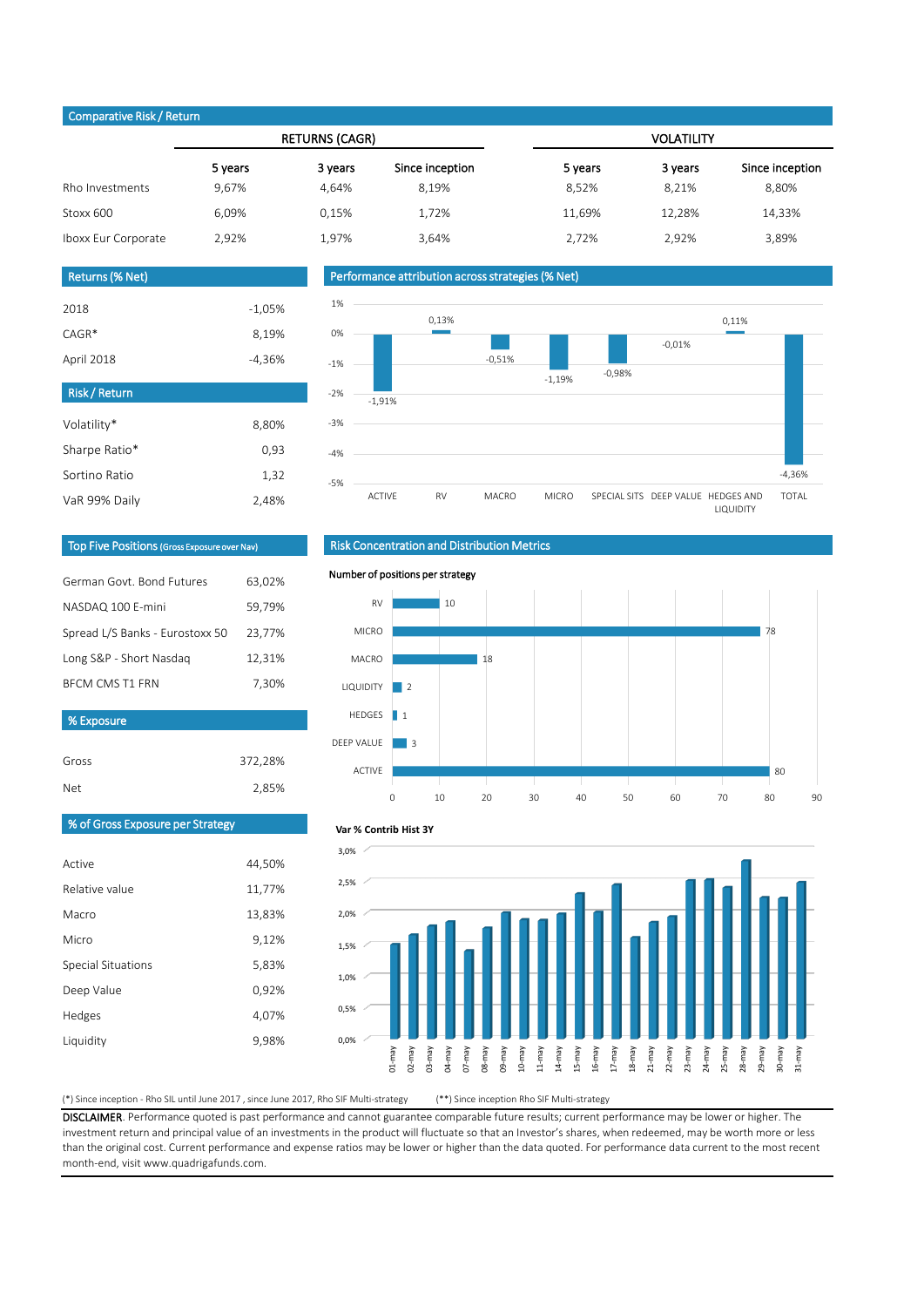(\*) Since inception - Rho SIL until June 2017 , since June 2017, Rho SIF Multi-strategy (\*\*) Since inception Rho SIF Multi-strategy

Gross

DISCLAIMER. Performance quoted is past performance and cannot guarantee comparable future results; current performance may be lower or higher. The investment return and principal value of an investments in the product will fluctuate so that an Investor's shares, when redeemed, may be worth more or less than the original cost. Current performance and expense ratios may be lower or higher than the data quoted. For performance data current to the most recent month-end, visit www.quadrigafunds.com.

| <b>Net</b> | 2,85% |
|------------|-------|
|            |       |
|            |       |

| Comparative inony netain |         |                       |                 |                   |         |                 |  |  |
|--------------------------|---------|-----------------------|-----------------|-------------------|---------|-----------------|--|--|
|                          |         | <b>RETURNS (CAGR)</b> |                 | <b>VOLATILITY</b> |         |                 |  |  |
|                          | 5 years | 3 years               | Since inception | 5 years           | 3 years | Since inception |  |  |
| Rho Investments          | 9,67%   | 4,64%                 | 8,19%           | 8,52%             | 8,21%   | 8,80%           |  |  |
| Stoxx 600                | 6,09%   | 0,15%                 | 1,72%           | 11,69%            | 12,28%  | 14,33%          |  |  |
| Iboxx Eur Corporate      | 2,92%   | 1,97%                 | 3,64%           | 2,72%             | 2,92%   | 3,89%           |  |  |

372,28%



| 2018       | $-1,05\%$ |
|------------|-----------|
| $CAGR*$    | 8,19%     |
| April 2018 | -4,36%    |

| Risk / Return |       |
|---------------|-------|
| Volatility*   | 8,80% |
| Sharpe Ratio* | 0,93  |
| Sortino Ratio | 1,32  |
| VaR 99% Daily | 2,48% |

| German Govt, Bond Futures       | 63,02% |
|---------------------------------|--------|
| NASDAQ 100 E-mini               | 59,79% |
| Spread L/S Banks - Eurostoxx 50 | 23,77% |
| Long S&P - Short Nasdag         | 12,31% |
| <b>BECM CMS T1 FRN</b>          | 7,30%  |
|                                 |        |
| % Exposure                      |        |
|                                 |        |

| Returns (% Net)' |  |
|------------------|--|
|                  |  |

#### Top Five Positions (Gross Exposure over Nav)



## Risk Concentration and Distribution Metrics

#### Performance attribution across strategies (% Net)



#### Number of positions per strategy

#### Comparative Risk / Return



#### **Var % Contrib Hist 3Y**